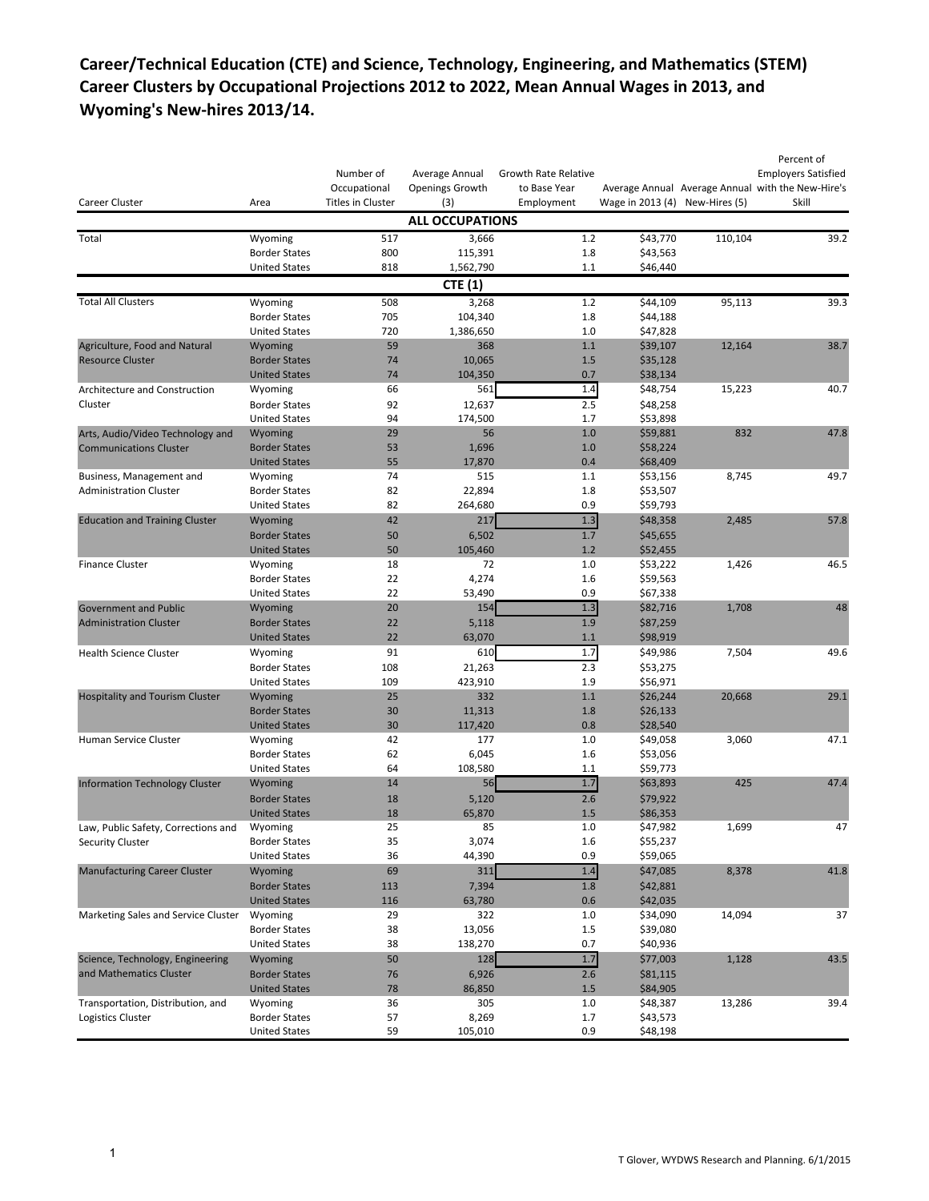## **Career/Technical Education (CTE) and Science, Technology, Engineering, and Mathematics (STEM) Career Clusters by Occupational Projections 2012 to 2022, Mean Annual Wages in 2013, and Wyoming's New‐hires 2013/14.**

| Number of<br>Average Annual<br>Growth Rate Relative<br>Occupational<br>Openings Growth<br>to Base Year<br>Career Cluster<br><b>Titles in Cluster</b><br>(3)<br>Employment<br>Wage in 2013 (4)<br>Area | New-Hires (5) | Percent of<br><b>Employers Satisfied</b><br>Average Annual Average Annual with the New-Hire's<br>Skill |
|-------------------------------------------------------------------------------------------------------------------------------------------------------------------------------------------------------|---------------|--------------------------------------------------------------------------------------------------------|
| <b>ALL OCCUPATIONS</b>                                                                                                                                                                                |               |                                                                                                        |
| 517<br>\$43,770<br>Total<br>Wyoming<br>3,666<br>1.2                                                                                                                                                   | 110,104       | 39.2                                                                                                   |
| <b>Border States</b><br>800<br>115,391<br>1.8<br>\$43,563                                                                                                                                             |               |                                                                                                        |
| 818<br>1,562,790<br>\$46,440<br><b>United States</b><br>1.1                                                                                                                                           |               |                                                                                                        |
| <b>CTE (1)</b>                                                                                                                                                                                        |               |                                                                                                        |
| <b>Total All Clusters</b><br>Wyoming<br>508<br>1.2<br>\$44,109<br>3,268                                                                                                                               | 95,113        | 39.3                                                                                                   |
| <b>Border States</b><br>705<br>104,340<br>1.8<br>\$44,188                                                                                                                                             |               |                                                                                                        |
| <b>United States</b><br>720<br>1,386,650<br>1.0<br>\$47,828                                                                                                                                           |               |                                                                                                        |
| 59<br>1.1<br>\$39,107<br>Wyoming<br>368<br>Agriculture, Food and Natural<br><b>Resource Cluster</b><br>1.5<br><b>Border States</b><br>74<br>10,065<br>\$35,128                                        | 12,164        | 38.7                                                                                                   |
| 74<br>104,350<br>0.7<br><b>United States</b><br>\$38,134                                                                                                                                              |               |                                                                                                        |
| 561<br>66<br>1.4<br>Architecture and Construction<br>\$48,754<br>Wyoming                                                                                                                              | 15,223        | 40.7                                                                                                   |
| Cluster<br>92<br>2.5<br>\$48,258<br><b>Border States</b><br>12,637                                                                                                                                    |               |                                                                                                        |
| 94<br>174,500<br>1.7<br>\$53,898<br><b>United States</b>                                                                                                                                              |               |                                                                                                        |
| Arts, Audio/Video Technology and<br>29<br>1.0<br>\$59,881<br>Wyoming<br>56                                                                                                                            | 832           | 47.8                                                                                                   |
| <b>Communications Cluster</b><br>53<br>1,696<br>1.0<br>\$58,224<br><b>Border States</b>                                                                                                               |               |                                                                                                        |
| 55<br>17,870<br>0.4<br>\$68,409<br><b>United States</b>                                                                                                                                               |               |                                                                                                        |
| 515<br>74<br>1.1<br>\$53,156<br>Business, Management and<br>Wyoming                                                                                                                                   | 8,745         | 49.7                                                                                                   |
| 82<br>22,894<br>1.8<br>\$53,507<br><b>Administration Cluster</b><br><b>Border States</b>                                                                                                              |               |                                                                                                        |
| 82<br>264,680<br>0.9<br><b>United States</b><br>\$59,793<br>42<br>217<br>1.3<br>\$48,358<br>Wyoming<br><b>Education and Training Cluster</b>                                                          | 2,485         | 57.8                                                                                                   |
| 50<br>6,502<br>1.7<br>\$45,655<br><b>Border States</b>                                                                                                                                                |               |                                                                                                        |
| 50<br>1.2<br>\$52,455<br><b>United States</b><br>105,460                                                                                                                                              |               |                                                                                                        |
| 18<br>1.0<br><b>Finance Cluster</b><br>Wyoming<br>72<br>\$53,222                                                                                                                                      | 1,426         | 46.5                                                                                                   |
| 22<br>4,274<br>1.6<br>\$59,563<br><b>Border States</b>                                                                                                                                                |               |                                                                                                        |
| 22<br>53,490<br>0.9<br>\$67,338<br><b>United States</b>                                                                                                                                               |               |                                                                                                        |
| 154<br>1.3<br><b>Government and Public</b><br>20<br>\$82,716<br>Wyoming                                                                                                                               | 1,708         | 48                                                                                                     |
| <b>Administration Cluster</b><br>22<br>1.9<br><b>Border States</b><br>5,118<br>\$87,259                                                                                                               |               |                                                                                                        |
| 22<br>63,070<br>\$98,919<br><b>United States</b><br>1.1                                                                                                                                               |               |                                                                                                        |
| 610<br>1.7<br>91<br>\$49,986<br><b>Health Science Cluster</b><br>Wyoming                                                                                                                              | 7,504         | 49.6                                                                                                   |
| 2.3<br>108<br>21,263<br>\$53,275<br><b>Border States</b>                                                                                                                                              |               |                                                                                                        |
| 109<br>423,910<br>1.9<br>\$56,971<br><b>United States</b><br>$1.1$<br>25<br>332<br><b>Hospitality and Tourism Cluster</b><br>\$26,244<br>Wyoming                                                      | 20,668        | 29.1                                                                                                   |
| 30<br>1.8<br>\$26,133<br><b>Border States</b><br>11,313                                                                                                                                               |               |                                                                                                        |
| 30<br>0.8<br>\$28,540<br><b>United States</b><br>117,420                                                                                                                                              |               |                                                                                                        |
| 42<br>177<br>1.0<br>\$49,058<br>Wyoming<br><b>Human Service Cluster</b>                                                                                                                               | 3,060         | 47.1                                                                                                   |
| 62<br>6,045<br>\$53,056<br><b>Border States</b><br>1.6                                                                                                                                                |               |                                                                                                        |
| <b>United States</b><br>64<br>108,580<br>1.1<br>\$59,773                                                                                                                                              |               |                                                                                                        |
| 14<br>1.7<br>\$63,893<br><b>Information Technology Cluster</b><br>Wyoming<br>56                                                                                                                       | 425           | 47.4                                                                                                   |
| 18<br>2.6<br>\$79,922<br><b>Border States</b><br>5,120                                                                                                                                                |               |                                                                                                        |
| 18<br>65,870<br>1.5<br>\$86,353<br><b>United States</b>                                                                                                                                               |               |                                                                                                        |
| 25<br>$1.0$<br>\$47,982<br>85<br>Law, Public Safety, Corrections and<br>Wyoming                                                                                                                       | 1,699         | 47                                                                                                     |
| Security Cluster<br><b>Border States</b><br>35<br>3,074<br>1.6<br>\$55,237<br><b>United States</b><br>36<br>44,390<br>0.9<br>\$59,065                                                                 |               |                                                                                                        |
| 69<br>311<br>1.4<br>\$47,085<br><b>Manufacturing Career Cluster</b><br>Wyoming                                                                                                                        | 8,378         | 41.8                                                                                                   |
| 7,394<br>1.8<br>\$42,881<br><b>Border States</b><br>113                                                                                                                                               |               |                                                                                                        |
| <b>United States</b><br>63,780<br>\$42,035<br>116<br>0.6                                                                                                                                              |               |                                                                                                        |
| Marketing Sales and Service Cluster<br>322<br>\$34,090<br>Wyoming<br>29<br>1.0                                                                                                                        | 14,094        | 37                                                                                                     |
| <b>Border States</b><br>38<br>13,056<br>1.5<br>\$39,080                                                                                                                                               |               |                                                                                                        |
| <b>United States</b><br>38<br>138,270<br>0.7<br>\$40,936                                                                                                                                              |               |                                                                                                        |
| 1.7<br>Science, Technology, Engineering<br>128<br>50<br>\$77,003<br>Wyoming                                                                                                                           | 1,128         | 43.5                                                                                                   |
| and Mathematics Cluster<br>6,926<br>\$81,115<br><b>Border States</b><br>76<br>2.6                                                                                                                     |               |                                                                                                        |
| <b>United States</b><br>78<br>86,850<br>\$84,905<br>1.5                                                                                                                                               |               |                                                                                                        |
| Transportation, Distribution, and<br>36<br>305<br>\$48,387<br>Wyoming<br>1.0<br><b>Border States</b><br>57<br>8,269<br>1.7<br>\$43,573<br>Logistics Cluster                                           | 13,286        | 39.4                                                                                                   |
| <b>United States</b><br>59<br>105,010<br>0.9<br>\$48,198                                                                                                                                              |               |                                                                                                        |